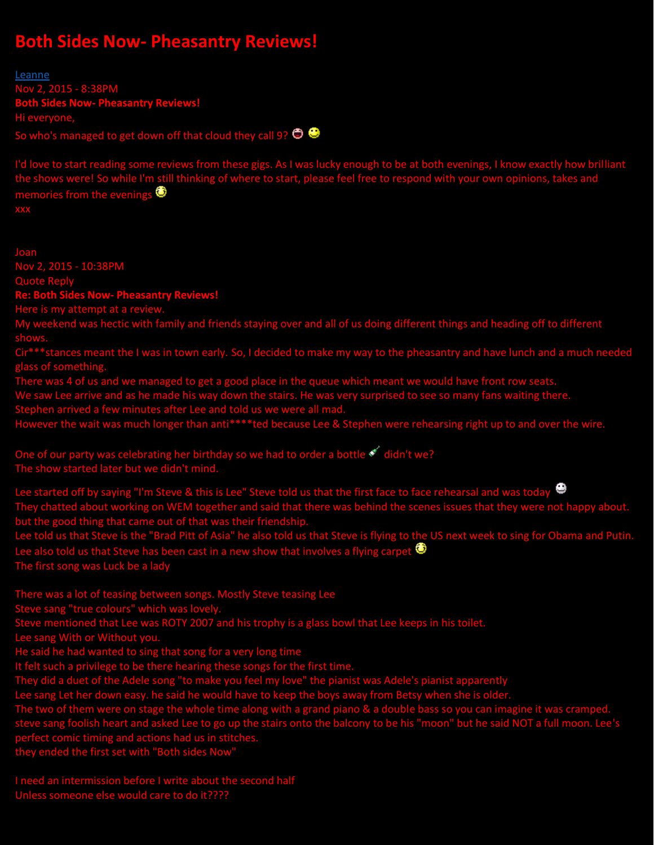# **Both Sides Now- Pheasantry Reviews!**

**[Leanne](http://pub29.bravenet.com/forum/static/show.php?usernum=2462310622&cmd=search&searchby=user&searchfor=Leanne&cp=0&frmid=10)** Nov 2, 2015 - 8:38PM **Both Sides Now- Pheasantry Reviews!** Hi everyone, So who's managed to get down off that cloud they call 9?

I'd love to start reading some reviews from these gigs. As I was lucky enough to be at both evenings, I know exactly how brilliant the shows were! So while I'm still thinking of where to start, please feel free to respond with your own opinions, takes and memories from the evenings xxx

Joan 2, 2015 - 10:38PM Quote Reply **Roth Sides Now- Pheasantry Reviews!** Here is my attempt at a review. My weekend was hectic with family and friends staying over and all of us doing different things and heading off to different Cir\*\*\*stances meant the I was in town early. So, I decided to make my way to the pheasantry and have lunch and a much needed glass of something. There was 4 of us and we managed to get a good place in the queue which meant we would have front row seats. We saw Lee arrive and as he made his way down the stairs. He was very surprised to see so many fans waiting there. Stephen arrived a few minutes after Lee and told us we were all mad. However the wait was much longer than anti\*\*\*\*ted because Lee & Stephen were rehearsing right up to and over the wire. One of our party was celebrating her birthday so we had to order a bottle  $\leq d$ idn't we? The show started later but we didn't mind. Lee started off by saying "I'm Steve & this is Lee" Steve told us that the first face to face rehearsal and was today<br>They chatted about working on WEM together and said that there was behind the scenes issues that they we They chatted about working on WEM together and said that there was behind the scenes issues that they were not happy about. but the good thing that came out of that was their friendship. Lee told us that Steve is the "Brad Pitt of Asia" he also told us that Steve is flying to the US next week to sing for Obama and Putin. Lee also told us that Steve has been cast in a new show that involves a flying carpet The first song was Luck be a lady There was a lot of teasing between songs. Mostly Steve teasing Lee Steve sang "true colours" which was lovely. teve mentioned that Lee was ROTY 2007 and his trophy is a glass bowl that Lee keeps in his toilet. Lee sang With or Without you. He said he had wanted to sing that song for a very long time It felt such a privilege to be there hearing these songs for the first time. They did a duet of the Adele song "to make you feel my love" the pianist was Adele's pianist apparently Lee sang Let her down easy. he said he would have to keep the boys away from Betsy when she is older. The two of them were on stage the whole time along with a grand piano & a double bass so you can imagine it was cramped. steve sang foolish heart and asked Lee to go up the stairs onto the balcony to be his "moon" but he said NOT a full moon. Lee's perfect comic timing and actions had us in stitches. they ended the first set with "Both sides Now"

I need an intermission before I write about the second half Unless someone else would care to do it????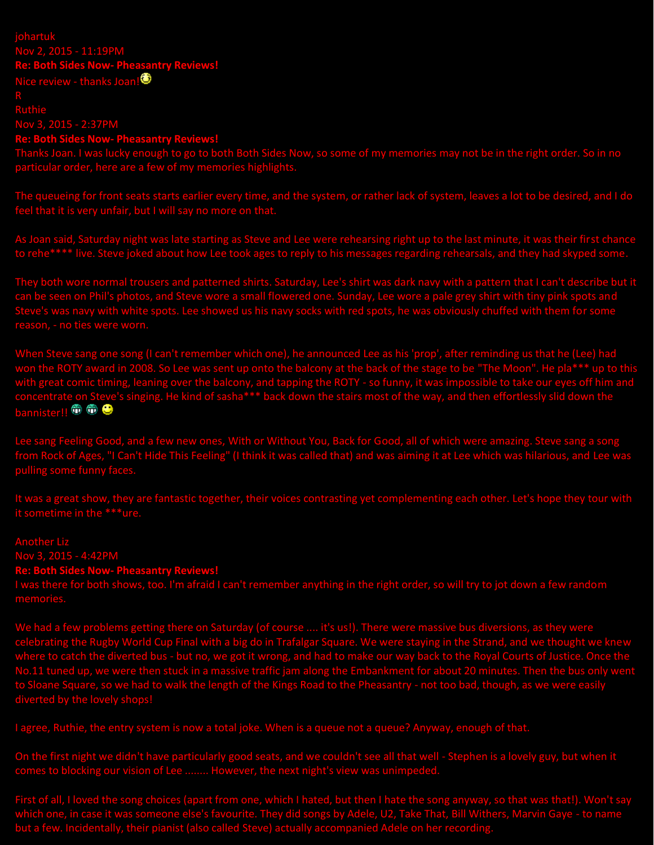hartuk , 2015 - 11:19PM<br>Ith Sides Now-T **Reviews!** Nice review - thanks Joan! $\bigcircledast$ Nov 3, 2015 - 2:37PM

#### **Re: Both Sides Now- Pheasantry Reviews!**

Thanks Joan. I was lucky enough to go to both Both Sides Now, so some of my memories may not be in the right order. So in no particular order, here are a few of my memories highlights.

The queueing for front seats starts earlier every time, and the system, or rather lack of system, leaves a lot to be desired, and I do feel that it is very unfair, but I will say no more on that.

As Joan said, Saturday night was late starting as Steve and Lee were rehearsing right up to the last minute, it was their first chance to rehe\*\*\*\* live. Steve joked about how Lee took ages to reply to his messages regarding rehearsals, and they had skyped some.

They both wore normal trousers and patterned shirts. Saturday, Lee's shirt was dark navy with a pattern that I can't describe but it can be seen on Phil's photos, and Steve wore a small flowered one. Sunday, Lee wore a pale grey shirt with tiny pink spots and Steve's was navy with white spots. Lee showed us his navy socks with red spots, he was obviously chuffed with them for some

When Steve sang one song (I can't remember which one), he announced Lee as his 'prop', after reminding us that he (Lee) had won the ROTY award in 2008. So Lee was sent up onto the balcony at the back of the stage to be "The Moon". He pla\*\*\* up to this with great comic timing, leaning over the balcony, and tapping the ROTY - so funny, it was impossible to take our eyes off him and concentrate on Steve's singing. He kind of sasha\*\*\* back down the stairs most of the way, and then effortlessly slid down the bannister!!

Lee sang Feeling Good, and a few new ones, With or Without You, Back for Good, all of which were amazing. Steve sang a song from Rock of Ages, "I Can't Hide This Feeling" (I think it was called that) and was aiming it at Lee which was hilarious, and Lee was pulling some funny faces.

It was a great show, they are fantastic together, their voices contrasting yet complementing each other. Let's hope they tour with

# Another Liz<br>Nov 3, 2015 - 4:42PM Nov 3, 2015 - 4:42PM **Re: Both Sides Now- Pheasantry Reviews!**

I was there for both shows, too. I'm afraid I can't remember anything in the right order, so will try to jot down a few random memories.

We had a few problems getting there on Saturday (of course .... it's us!). There were massive bus diversions, as they were celebrating the Rugby World Cup Final with a big do in Trafalgar Square. We were staying in the Strand, and we thought we knew where to catch the diverted bus - but no, we got it wrong, and had to make our way back to the Royal Courts of Justice. Once the No.11 tuned up, we were then stuck in a massive traffic jam along the Embankment for about 20 minutes. Then the bus only went to Sloane Square, so we had to walk the length of the Kings Road to the Pheasantry - not too bad, though, as we were easily diverted by the lovely shops!

I agree, Ruthie, the entry system is now a total joke. When is a queue not a queue? Anyway, enough of that.

On the first night we didn't have particularly good seats, and we couldn't see all that well - Stephen is a lovely guy, but when it comes to blocking our vision of Lee ........ However, the next night's view was unimpeded.

First of all, I loved the song choices (apart from one, which I hated, but then I hate the song anyway, so that was that!). Won't say which one, in case it was someone else's favourite. They did songs by Adele, U2, Take That, Bill Withers, Marvin Gaye - to name but a few. Incidentally, their pianist (also called Steve) actually accompanied Adele on her recording.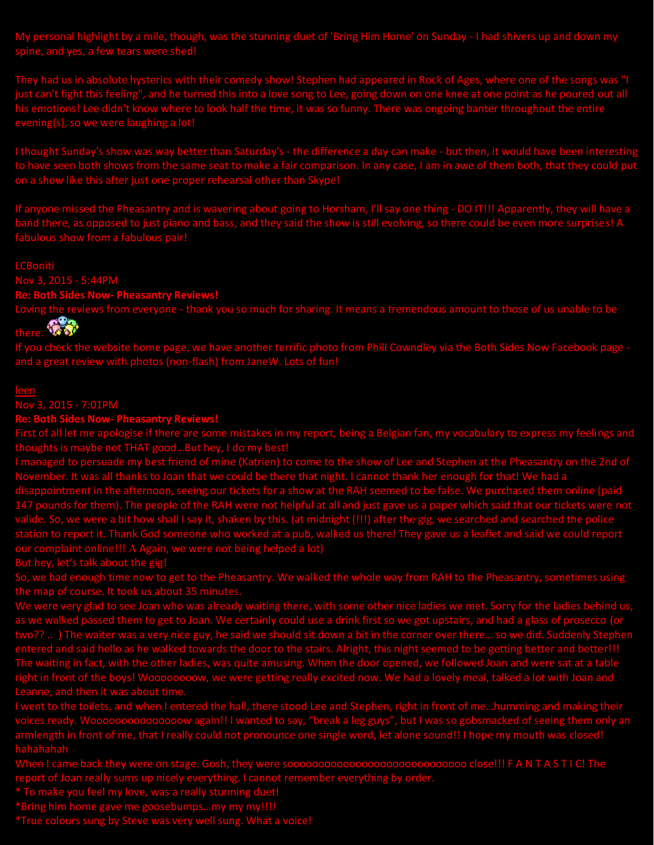My personal highlight by a mile, though, was the stunning duet of 'Bring Him Home' on Sunday - I had shivers up and down my spine, and yes, a few tears were shed!

They had us in absolute hysterics with their comedy show! Stephen had appeared in Rock of Ages, where one of the songs was "I just can't fight this feeling", and he turned this into a love song to Lee, going down on one knee at one point as he poured out all his emotions! Lee didn't know where to look half the time, it was so funny. There was ongoing banter throughout the entire ning(s), so we were laughing a lot!

I thought Sunday's show was way better than Saturday's - the difference a day can make - but then, it would have been interesting to have seen both shows from the same seat to make a fair comparison. In any case, I am in awe of them both, that they could put on a show like this after just one proper rehearsal other than Skype!

If anyone missed the Pheasantry and is wavering about going to Horsham, I'll say one thing - DO IT!!! Apparently, they will have a band there, as opposed to just piano and bass, and they said the show is still evolving, so there could be even more surprises! A fabulous show from a fabulous pair!

#### LCBoniti

Nov 3, 2015 - 5:44PM

#### **Re: Both Sides Now- Pheasantry Reviews!**

so much for sharing. It means a tremendous amount to those of us unable to be



to from Phill Cowndley via the Both Sides Now Fa .<br>nd a great review with photos (non-flash) from JaneW. Lots of fun!

### <u>leen</u>

#### Nov 3, 2015 - 7:01PM

# **Roth Sides Now- Pheasantry Reviews!**

First of all let me apologise if there are some mistakes in my report, being a Belgian fan, my vocabulary to express my feelings and thoughts is maybe not THAT good…But hey, I do my best!

I managed to persuade my best friend of mine (Katrien) to come to the show of Lee and Stephen at the Pheasantry on the 2nd of In to persudde my best mend of mine (Ruther) to come to the short of Ecc and beephen at the masseum, and thanks to Joan that we could be there that night. I cannot thank her enough for that! We had a disappointment in the afternoon, seeing our tickets for a show at the RAH seemed to be false. We purchased them online (paid 147 pounds for them). The people of the RAH were not helpful at all and just gave us a paper which said that our tickets were not valide. So, we were a bit how shall I say it, shaken by this. (at midnight (!!!) after the gig, we searched and searched the police station to report it. Thank God someone who worked at a pub, walked us there! They gave us a leaflet and said we could report our complaint online!!! A Again, we were not being helped a lot)

But hey, let's talk about the gig!

ad enough time now to get to the Pheasantry. We walked the whole way from RAH to the Pheasantry, sometimes using the map of course. It took us about 35 minutes.

We were very glad to see Joan who was already waiting there, with some other nice ladies we met. Sorry for the ladies behind us, as we walked passed them to get to Joan. We certainly could use a drink first so we got upstairs, and had a glass of prosecco (or two?? .. ) The waiter was a very nice guy, he said we should sit down a bit in the corner over there… so we did. Suddenly Stephen entered and said hello as he walked towards the door to the stairs. Alright, this night seemed to be getting better and better!!! The waiting in fact, with the other ladies, was quite amusing. When the door opened, we followed Joan and were sat at a table right in front of the boys! Woooooooow, we were getting really excited now. We had a lovely meal, talked a lot with Joan and Leanne, and then it was about time.

I went to the toilets, and when I entered the hall, there stood Lee and Stephen, right in front of me…humming and making their voices ready. Wooooooooooooooow again!! I wanted to say, "break a leg guys", but I was so gobsmacked of seeing them only an armlength in front of me, that I really could not pronounce one single word, let alone sound!! I hope my mouth was closed! hahahahah

When I came back they were on stage. Gosh, they were sooooooooooooooooooooooooooooooooo close!!! F A N T A S T I C! The report of Joan really sums up nicely everything. I cannot remember everything by order.

\* To make you feel my love, was a really stunning duet!

\*Bring him home gave me goosebumps…my my my!!!!

\*True colours sung by Steve was very well sung. What a voice!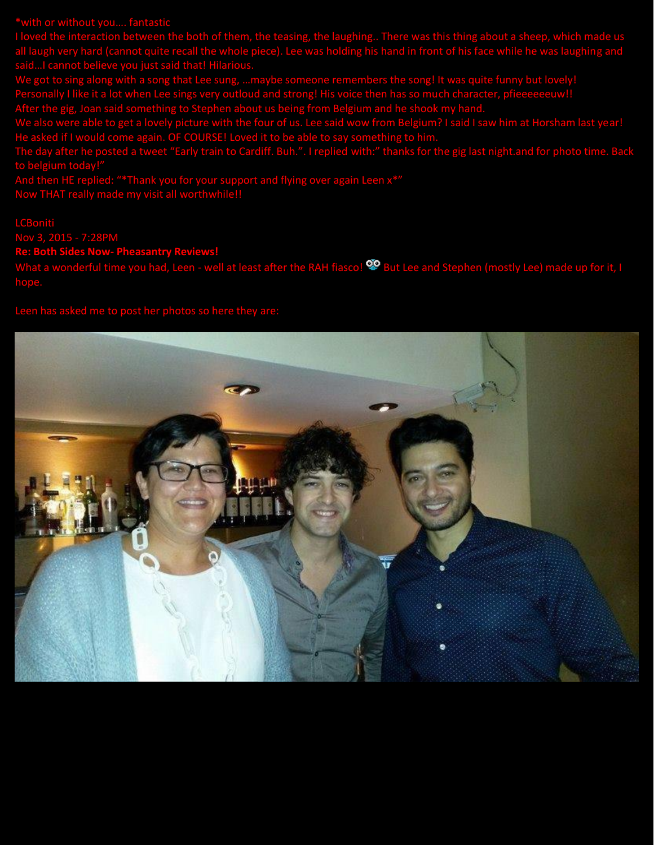I loved the interaction between the both of them, the teasing, the laughing.. There was this thing about a sheep, which made us all laugh very hard (cannot quite recall the whole piece). Lee was holding his hand in front of his face while he was laughing and y hard (cannot quite recall the whole<br>ot believe you just said that! Hilariou

We got to sing along with a song that Lee sung, …maybe someone remembers the song! It was quite funny but lovely! Personally I like it a lot when Lee sings very outloud and strong! His voice then has so much character, pfieeeeeeuw!!

After the gig, Joan said something to Stephen about us being from Belgium and he shook my hand.

We also were able to get a lovely picture with the four of us. Lee said wow from Belgium? I said I saw him at Horsham last year! He asked if I would come again. OF COURSE! Loved it to be able to say something to him.

The day after he posted a tweet "Early train to Cardiff. Buh.". I replied with:" thanks for the gig last night.and for photo time. Back to belgium today!"

And then HE replied: "\*Thank you for your support and flying over again Leen x\*" Now THAT really made my visit all worthwhile!!

#### LCBoniti

Nov 3, 2015 - 7:28PM

#### **Re: Both Sides Now- Pheasantry Reviews!**

What a wonderful time you had, Leen - well at least after the RAH fiasco! <sup>49</sup> But Lee and Stephen (mostly Lee) made up for it, I hope.

# Leen has asked me to post her photos so here they are:

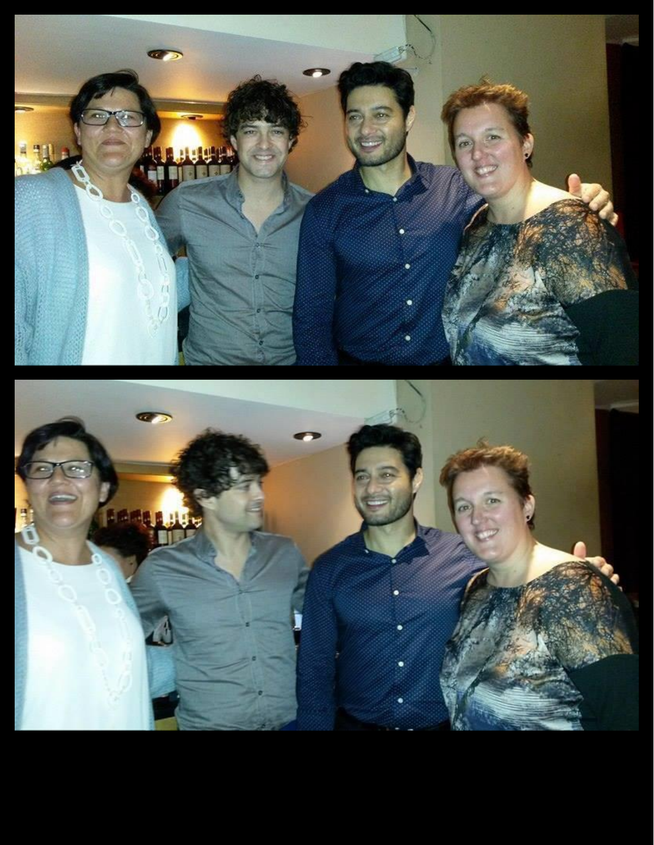

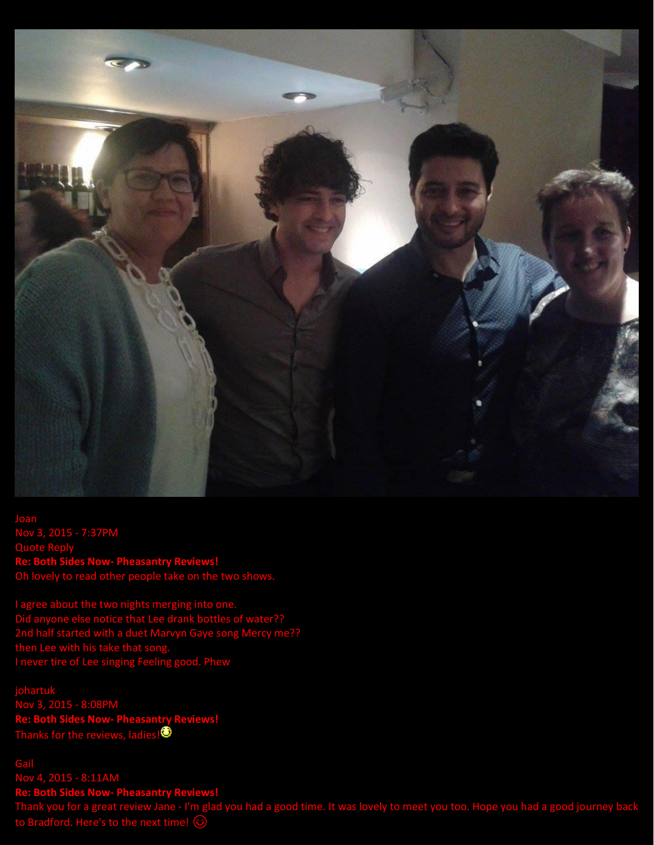

Joan Nov 3, 2015 - 7:37PM Quote Reply **Re: Both Sides Now- Pheasantry Reviews!** Oh lovely to read other people take on the two shows.

I agree about the two nights merging into one. Did anyone else notice that Lee drank bottles of water?? 2nd half started with a duet Marvyn Gaye song Mercy me?? I never tire of Lee singing Feeling good. Phew

johartuk Nov 3, 2015 - 8:08PM **Re: Both Sides Now- Pheasantry Reviews!** Thanks for the reviews, ladies!

Gail Nov 4, 2015 - 8:11AM **Re: Both Sides Now- Pheasantry Reviews!** Thank you for a great review Jane - I'm glad you had a good time. It was lovely to meet you too. Hope you had a good journey back to Bradford. Here's to the next time!